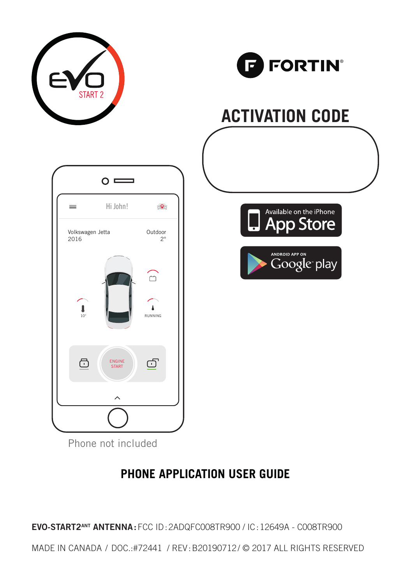



## **ACTIVATION CODE**







Phone not included

#### **PHONE APPLICATION USER GUIDE**

**EVO-START2ANT ANTENNA :** FCC ID : 2ADQFC008TR900 / IC : 12649A - C008TR900

MADE IN CANADA / DOC.:#72441/ REV : B20190712 / © 2017 ALL RIGHTS RESERVED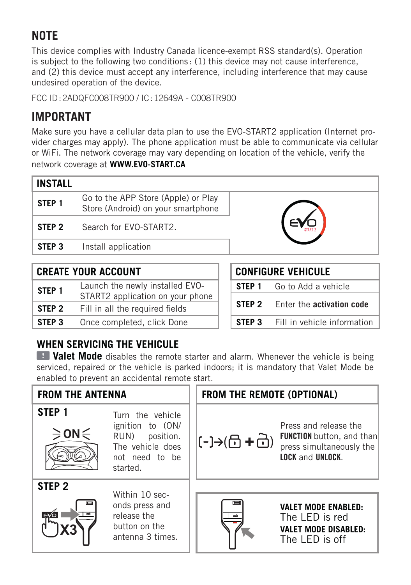### **NOTE**

This device complies with Industry Canada licence-exempt RSS standard(s). Operation is subject to the following two conditions : (1) this device may not cause interference, and (2) this device must accept any interference, including interference that may cause undesired operation of the device.

FCC ID : 2ADQFC008TR900 / IC : 12649A - C008TR900

#### **IMPORTANT**

Make sure you have a cellular data plan to use the EVO-START2 application (Internet provider charges may apply). The phone application must be able to communicate via cellular or WiFi. The network coverage may vary depending on location of the vehicle, verify the network coverage at **WWW.EVO-START.CA**

| <b>INSTALL</b>                                          |                                                                           |  |
|---------------------------------------------------------|---------------------------------------------------------------------------|--|
| STEP <sub>1</sub>                                       | Go to the APP Store (Apple) or Play<br>Store (Android) on your smartphone |  |
| STEP <sub>2</sub>                                       | Search for FVO-START2.                                                    |  |
| STEP <sub>3</sub>                                       | Install application                                                       |  |
| <b>CREATE YOUR ACCOUNT</b><br><b>CONFIGURE VEHICULE</b> |                                                                           |  |

|  |  | <b>CREATE YOUR ACCOUNT</b> |  |
|--|--|----------------------------|--|
|--|--|----------------------------|--|

| STEP <sub>1</sub> | Launch the newly installed EVO-<br>START2 application on your phone |  | STFP <sub>1</sub> | Go to Add a vehicle         |
|-------------------|---------------------------------------------------------------------|--|-------------------|-----------------------------|
|                   |                                                                     |  |                   |                             |
| STEP 2            | Fill in all the required fields                                     |  | STEP 2            | Enter the activation code   |
| STEP 3            | Once completed, click Done                                          |  | STEP 3            | Fill in vehicle information |

| <b>CONFIGURE VEHICULE</b> |                             |  |
|---------------------------|-----------------------------|--|
| STEP 1                    | Go to Add a vehicle         |  |
| STEP 2                    | Enter the activation code   |  |
| <b>STEP 3</b>             | Fill in vehicle information |  |

#### WHEN SERVICING THE VEHICULE

**Valet Mode** disables the remote starter and alarm. Whenever the vehicle is being serviced, repaired or the vehicle is parked indoors; it is mandatory that Valet Mode be enabled to prevent an accidental remote start.

#### **FROM THE ANTENNA FROM THE REMOTE (OPTIONAL) STEP 1** Turn the vehicle ignition to (ON/ Press and release the ON: RUN) position. FUNCTION button, and than ( ( The vehicle does press simultaneously the not need to be LOCK and UNLOCK. started. **STEP 2** Within 10 seconds press and **VALET MODE ENABLED:** release the The LED is red button on the **VALET MODE DISABLED:** antenna 3 times. The LED is off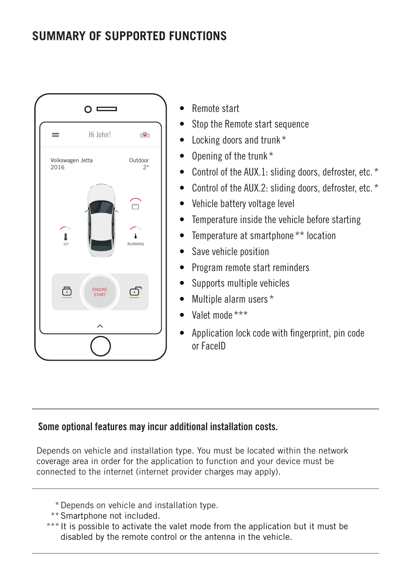#### **SUMMARY OF SUPPORTED FUNCTIONS**



- Remote start
- Stop the Remote start sequence
- Locking doors and trunk \*
- Opening of the trunk \*
- Control of the AUX.1: sliding doors, defroster, etc. \*
- Control of the AUX.2: sliding doors, defroster, etc. \*
- Vehicle battery voltage level
- Temperature inside the vehicle before starting
- Temperature at smartphone \*\* location
- Save vehicle position
- Program remote start reminders
- Supports multiple vehicles
- Multiple alarm users \*
- Valet mode \*\*\*
- Application lock code with fingerprint, pin code or FaceID

#### Some optional features may incur additional installation costs.

Depends on vehicle and installation type. You must be located within the network coverage area in order for the application to function and your device must be connected to the internet (internet provider charges may apply).

- \* Depends on vehicle and installation type.
- \*\* Smartphone not included.
- \*\*\* It is possible to activate the valet mode from the application but it must be disabled by the remote control or the antenna in the vehicle.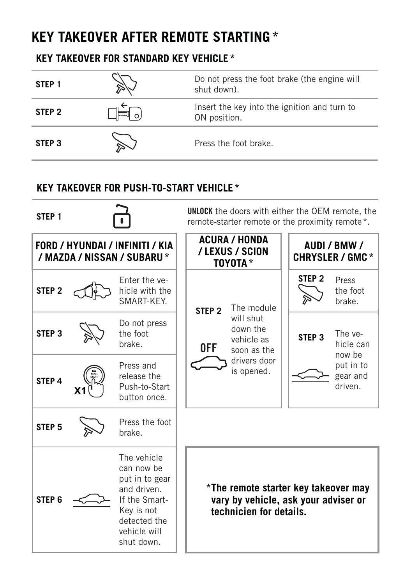## **KEY TAKEOVER AFTER REMOTE STARTING \***

#### **KEY TAKEOVER FOR STANDARD KEY VEHICLE \***

| STEP <sub>1</sub> | Do not press the foot brake (the engine will<br>shut down).  |
|-------------------|--------------------------------------------------------------|
| STEP <sub>2</sub> | Insert the key into the ignition and turn to<br>ON position. |
| STEP <sub>3</sub> | Press the foot brake.                                        |

#### **KEY TAKEOVER FOR PUSH-TO-START VEHICLE \***

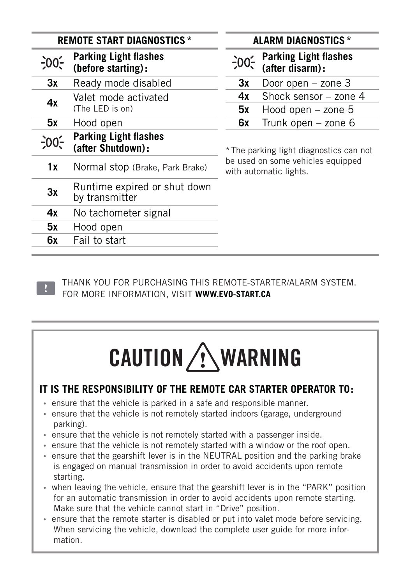| <b>REMOTE START DIAGNOSTICS *</b> |                                                    |           | <b>ALARM DIAGNOSTICS *</b>                                 |
|-----------------------------------|----------------------------------------------------|-----------|------------------------------------------------------------|
| -00,                              | <b>Parking Light flashes</b><br>(before starting): | $-00^{-}$ | <b>Parking Light flashes</b><br>(after disarm):            |
| 3x                                | Ready mode disabled                                | 3x        | Door open - zone 3                                         |
| 4x                                | Valet mode activated<br>(The LED is on)            | 4x<br>5х  | Shock sensor - zone<br>Hood open $-$ zone $5$              |
| 5x                                | Hood open                                          | 6x        | Trunk open - zone 6                                        |
| :00                               | <b>Parking Light flashes</b><br>(after Shutdown):  |           | * The parking light diagnostics car                        |
| 1x                                | Normal stop (Brake, Park Brake)                    |           | be used on some vehicles equippe<br>with automatic lights. |
| 3x                                | Runtime expired or shut down<br>by transmitter     |           |                                                            |
| 4x                                | No tachometer signal                               |           |                                                            |
| 5x                                | Hood open                                          |           |                                                            |
| 6x                                | Fail to start                                      |           |                                                            |
|                                   |                                                    |           |                                                            |

#### **REMOTE START DIAGNOSTICS \* ALARM DIAGNOSTICS \***

\* The parking light diagnostics can not be used on some vehicles equipped with automatic lights.

THANK YOU FOR PURCHASING THIS REMOTE-STARTER/ALARM SYSTEM. FOR MORE INFORMATION, VISIT **WWW.EVO-START.CA** 

# CAUTION **WARNING**

#### **IT IS THE RESPONSIBILITY OF THE REMOTE CAR STARTER OPERATOR TO:**

- **•** ensure that the vehicle is parked in a safe and responsible manner.
- **•** ensure that the vehicle is not remotely started indoors (garage, underground parking).
- **•** ensure that the vehicle is not remotely started with a passenger inside.
- **•** ensure that the vehicle is not remotely started with a window or the roof open.
- **•** ensure that the gearshift lever is in the NEUTRAL position and the parking brake is engaged on manual transmission in order to avoid accidents upon remote starting.
- **•** when leaving the vehicle, ensure that the gearshift lever is in the "PARK" position for an automatic transmission in order to avoid accidents upon remote starting. Make sure that the vehicle cannot start in "Drive" position.
- **•** ensure that the remote starter is disabled or put into valet mode before servicing. When servicing the vehicle, download the complete user guide for more information.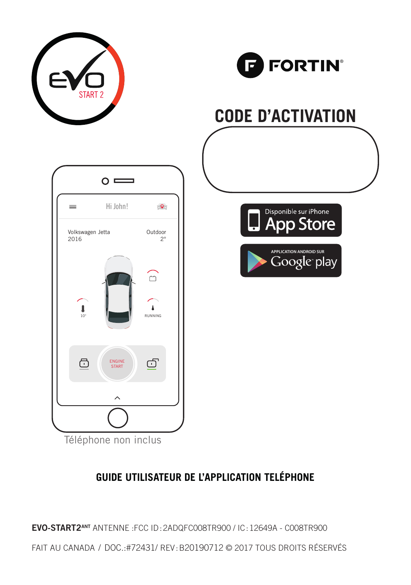



## **CODE D'ACTIVATION**







Téléphone non inclus

#### **GUIDE UTILISATEUR DE L'APPLICATION TELÉPHONE**

**EVO-START2ANT** ANTENNE :FCC ID:2ADQFC008TR900 / IC:12649A - C008TR900

FAIT AU CANADA / DOC.:#72431 / REV:B20190712 © 2017 TOUS DROITS RÉSERVÉS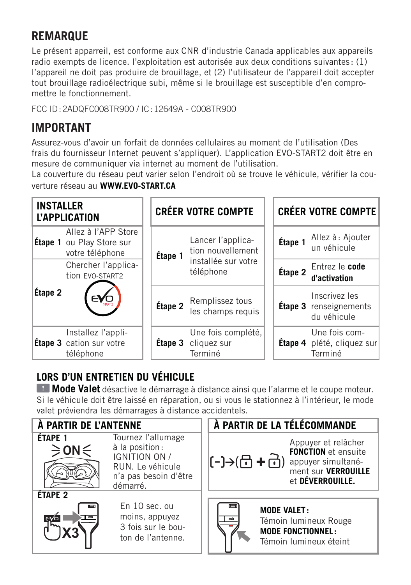#### **REMARQUE**

Le présent apparreil, est conforme aux CNR d'industrie Canada applicables aux appareils radio exempts de licence. l'exploitation est autorisée aux deux conditions suivantes : (1) l'appareil ne doit pas produire de brouillage, et (2) l'utilisateur de l'appareil doit accepter tout brouillage radioélectrique subi, même si le brouillage est susceptible d'en compromettre le fonctionnement.

FCC ID : 2ADQFC008TR900 / IC : 12649A - C008TR900

#### **IMPORTANT**

Assurez-vous d'avoir un forfait de données cellulaires au moment de l'utilisation (Des frais du fournisseur Internet peuvent s'appliquer). L'application EVO-START2 doit être en mesure de communiquer via internet au moment de l'utilisation.

La couverture du réseau peut varier selon l'endroit où se trouve le véhicule, vérifier la couverture réseau au **WWW.EVO-START.CA**



#### **LORS D'UN ENTRETIEN DU VÉHICULE**

**Mode Valet** désactive le démarrage à distance ainsi que l'alarme et le coupe moteur. Si le véhicule doit être laissé en réparation, ou si vous le stationnez à l'intérieur, le mode valet préviendra les démarrages à distance accidentels.

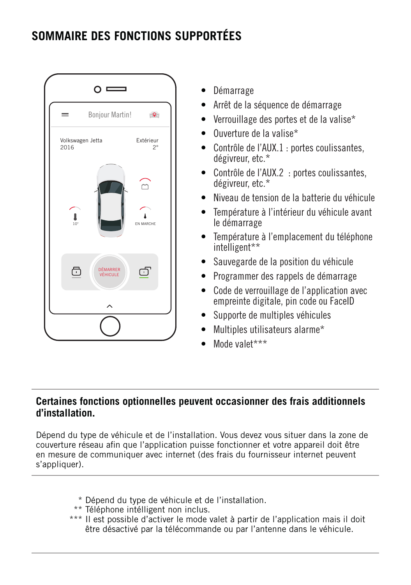#### **SOMMAIRE DES FONCTIONS SUPPORTÉES**



- Démarrage
- Arrêt de la séquence de démarrage
- Verrouillage des portes et de la valise\*
- Ouverture de la valise\*
- Contrôle de l'AUX.1 : portes coulissantes, dégivreur, etc.\*
- Contrôle de l'AUX.2 : portes coulissantes, dégivreur, etc.\*
- Niveau de tension de la batterie du véhicule
- Température à l'intérieur du véhicule avant le démarrage
- Température à l'emplacement du téléphone intelligent\*\*
- Sauvegarde de la position du véhicule
- Programmer des rappels de démarrage
- Code de verrouillage de l'application avec empreinte digitale, pin code ou FaceID
- Supporte de multiples véhicules
- Multiples utilisateurs alarme\*
- Mode valet\*\*\*

#### **Certaines fonctions optionnelles peuvent occasionner des frais additionnels d'installation.**

Dépend du type de véhicule et de l'installation. Vous devez vous situer dans la zone de couverture réseau afin que l'application puisse fonctionner et votre appareil doit être en mesure de communiquer avec internet (des frais du fournisseur internet peuvent s'appliquer).

- \* Dépend du type de véhicule et de l'installation.
- \*\* Téléphone intélligent non inclus.
- \*\*\* Il est possible d'activer le mode valet à partir de l'application mais il doit être désactivé par la télécommande ou par l'antenne dans le véhicule.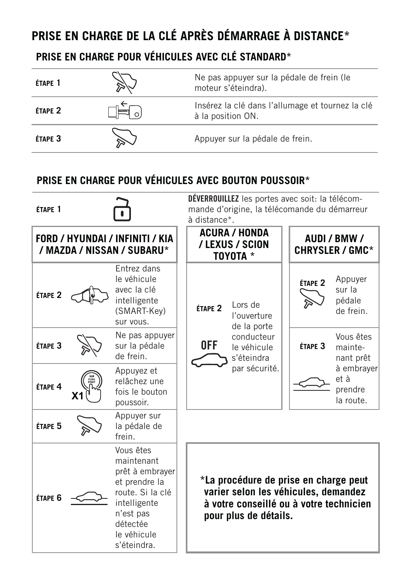#### **PRISE EN CHARGE DE LA CLÉ APRÈS DÉMARRAGE À DISTANCE\***

#### **PRISE EN CHARGE POUR VÉHICULES AVEC CLÉ STANDARD\***

| ÉTAPE 1            | Ne pas appuyer sur la pédale de frein (le<br>moteur s'éteindra).      |
|--------------------|-----------------------------------------------------------------------|
| ÉTAPE <sub>2</sub> | Insérez la clé dans l'allumage et tournez la clé<br>à la position ON. |
| ÉTAPE <sub>3</sub> | Appuyer sur la pédale de frein.                                       |

#### **PRISE EN CHARGE POUR VÉHICULES AVEC BOUTON POUSSOIR\***